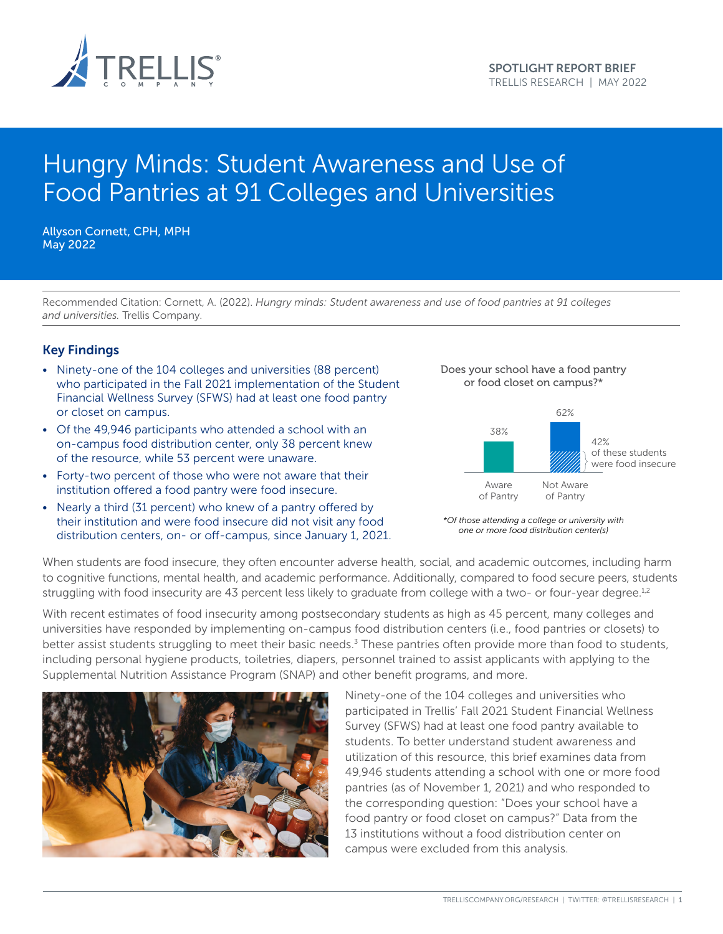

# Hungry Minds: Student Awareness and Use of Food Pantries at 91 Colleges and Universities

Allyson Cornett, CPH, MPH May 2022

Recommended Citation: Cornett, A. (2022). *Hungry minds: Student awareness and use of food pantries at 91 colleges and universities.* Trellis Company.

## Key Findings

- Ninety-one of the 104 colleges and universities (88 percent) who participated in the Fall 2021 implementation of the Student Financial Wellness Survey (SFWS) had at least one food pantry or closet on campus.
- Of the 49,946 participants who attended a school with an on-campus food distribution center, only 38 percent knew of the resource, while 53 percent were unaware.
- Forty-two percent of those who were not aware that their institution offered a food pantry were food insecure. care
- Nearly a third (31 percent) who knew of a pantry offered by their institution and were food insecure did not visit any food distribution centers, on- or off-campus, since January 1, 2021. *one or more food distribution center(s)*







When students are food insecure, they often encounter adverse health, social, and academic outcomes, including harm to cognitive functions, mental health, and academic performance. Additionally, compared to food secure peers, students struggling with food insecurity are 43 percent less likely to graduate from college with a two- or four-year degree.<sup>1,2</sup>

With recent estimates of food insecurity among postsecondary students as high as 45 percent, many colleges and universities have responded by implementing on-campus food distribution centers (i.e., food pantries or closets) to better assist students struggling to meet their basic needs.<sup>3</sup> These pantries often provide more than food to students, including personal hygiene products, toiletries, diapers, personnel trained to assist applicants with applying to the Supplemental Nutrition Assistance Program (SNAP) and other benefit programs, and more.



Ninety-one of the 104 colleges and universities who participated in Trellis' Fall 2021 Student Financial Wellness Francis Tall 2021 States in Indian Wellie<br>Survey (SFWS) had at least one food pantry available to students. To better understand student awareness and utilization of this resource, this brief examines data from attazation of this resource, this site, examines data home. pantries (as of November 1, 2021) and who responded to the corresponding question: "Does your school have a  $\mathcal{H}$  food pantry or food closet on campus?" Data from the 13 institutions without a food distribution center on *Compus were excluded from this analysis. distribution of the campus were exc*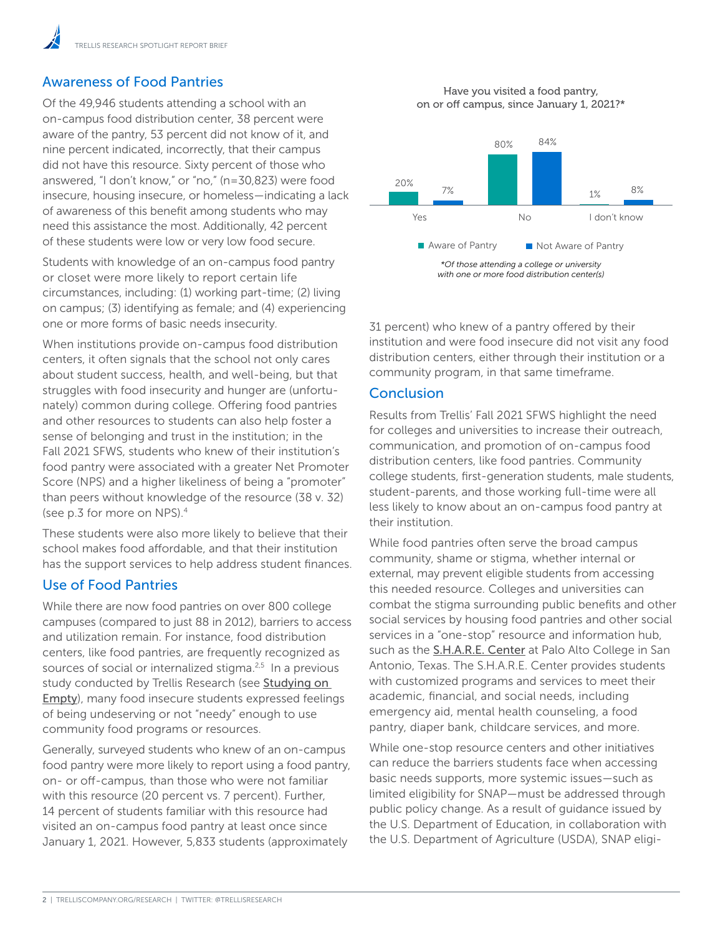# Awareness of Food Pantries

Of the 49,946 students attending a school with an on-campus food distribution center, 38 percent were aware of the pantry, 53 percent did not know of it, and nine percent indicated, incorrectly, that their campus did not have this resource. Sixty percent of those who answered, "I don't know," or "no," (n=30,823) were food insecure, housing insecure, or homeless—indicating a lack of awareness of this benefit among students who may need this assistance the most. Additionally, 42 percent of these students were low or very low food secure.

Students with knowledge of an on-campus food pantry or closet were more likely to report certain life circumstances, including: (1) working part-time; (2) living on campus; (3) identifying as female; and (4) experiencing one or more forms of basic needs insecurity.

When institutions provide on-campus food distribution centers, it often signals that the school not only cares about student success, health, and well-being, but that struggles with food insecurity and hunger are (unfortunately) common during college. Offering food pantries and other resources to students can also help foster a sense of belonging and trust in the institution; in the Fall 2021 SFWS, students who knew of their institution's food pantry were associated with a greater Net Promoter Score (NPS) and a higher likeliness of being a "promoter" than peers without knowledge of the resource (38 v. 32) (see p.3 for more on NPS).4

These students were also more likely to believe that their school makes food affordable, and that their institution has the support services to help address student finances.

## Use of Food Pantries

While there are now food pantries on over 800 college campuses (compared to just 88 in 2012), barriers to access and utilization remain. For instance, food distribution centers, like food pantries, are frequently recognized as sources of social or internalized stigma.<sup>2,5</sup> In a previous study conducted by Trellis Research (see [Studying on](https://www.trelliscompany.org/wp-content/uploads/2019/09/Studying-on-Empty.pdf)  [Empty](https://www.trelliscompany.org/wp-content/uploads/2019/09/Studying-on-Empty.pdf)), many food insecure students expressed feelings of being undeserving or not "needy" enough to use community food programs or resources.

Generally, surveyed students who knew of an on-campus food pantry were more likely to report using a food pantry, on- or off-campus, than those who were not familiar with this resource (20 percent vs. 7 percent). Further, 14 percent of students familiar with this resource had visited an on-campus food pantry at least once since January 1, 2021. However, 5,833 students (approximately

#### Have you visited a food pantry, on or off campus, since January 1, 2021?\*



*with one or more food distribution center(s)*

31 percent) who knew of a pantry offered by their institution and were food insecure did not visit any food distribution centers, either through their institution or a community program, in that same timeframe.

## Conclusion

Results from Trellis' Fall 2021 SFWS highlight the need for colleges and universities to increase their outreach, communication, and promotion of on-campus food distribution centers, like food pantries. Community college students, first-generation students, male students, student-parents, and those working full-time were all less likely to know about an on-campus food pantry at their institution.

While food pantries often serve the broad campus community, shame or stigma, whether internal or external, may prevent eligible students from accessing this needed resource. Colleges and universities can combat the stigma surrounding public benefits and other social services by housing food pantries and other social services in a "one-stop" resource and information hub, such as the **[S.H.A.R.E. Center](https://www.alamo.edu/pac/experience-pac/campus-life/campus-resources/share-center/)** at Palo Alto College in San Antonio, Texas. The S.H.A.R.E. Center provides students with customized programs and services to meet their academic, financial, and social needs, including emergency aid, mental health counseling, a food pantry, diaper bank, childcare services, and more.

While one-stop resource centers and other initiatives can reduce the barriers students face when accessing basic needs supports, more systemic issues—such as limited eligibility for SNAP—must be addressed through public policy change. As a result of guidance issued by the U.S. Department of Education, in collaboration with the U.S. Department of Agriculture (USDA), SNAP eligi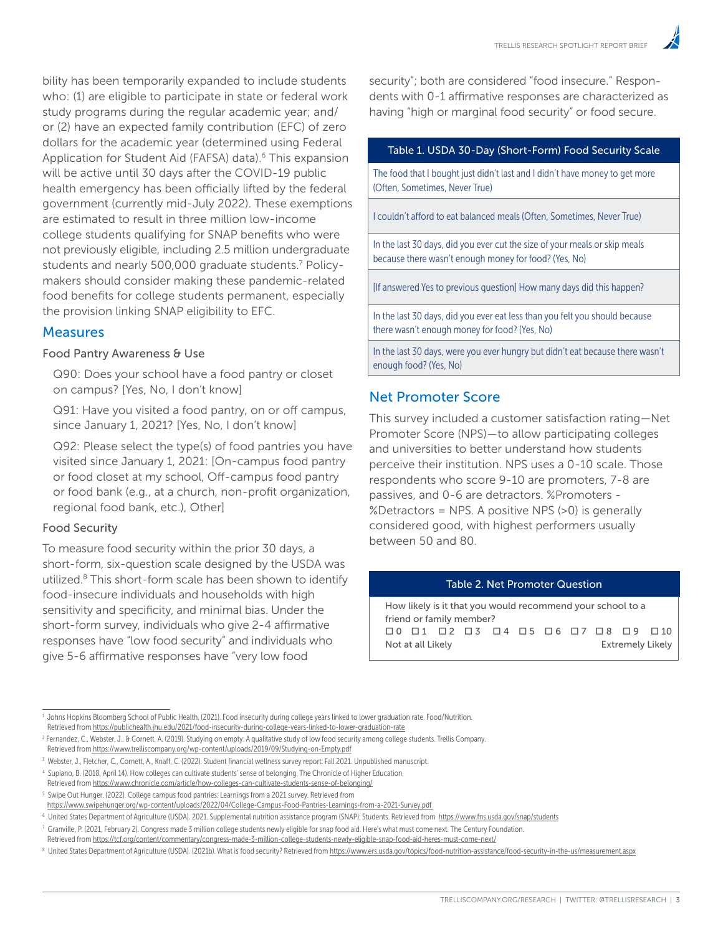bility has been temporarily expanded to include students who: (1) are eligible to participate in state or federal work study programs during the regular academic year; and/ or (2) have an expected family contribution (EFC) of zero dollars for the academic year (determined using Federal Application for Student Aid (FAFSA) data).<sup>6</sup> This expansion will be active until 30 days after the COVID-19 public health emergency has been officially lifted by the federal government (currently mid-July 2022). These exemptions are estimated to result in three million low-income college students qualifying for SNAP benefits who were not previously eligible, including 2.5 million undergraduate students and nearly 500,000 graduate students.<sup>7</sup> Policymakers should consider making these pandemic-related food benefits for college students permanent, especially the provision linking SNAP eligibility to EFC.

## **Measures**

#### Food Pantry Awareness & Use

Q90: Does your school have a food pantry or closet on campus? [Yes, No, I don't know]

Q91: Have you visited a food pantry, on or off campus, since January 1, 2021? [Yes, No, I don't know]

Q92: Please select the type(s) of food pantries you have visited since January 1, 2021: [On-campus food pantry or food closet at my school, Off-campus food pantry or food bank (e.g., at a church, non-profit organization, regional food bank, etc.), Other]

## Food Security

To measure food security within the prior 30 days, a short-form, six-question scale designed by the USDA was utilized.8 This short-form scale has been shown to identify food-insecure individuals and households with high sensitivity and specificity, and minimal bias. Under the short-form survey, individuals who give 2-4 affirmative responses have "low food security" and individuals who give 5-6 affirmative responses have "very low food

security"; both are considered "food insecure." Respondents with 0-1 affirmative responses are characterized as having "high or marginal food security" or food secure.

#### Table 1. USDA 30-Day (Short-Form) Food Security Scale

The food that I bought just didn't last and I didn't have money to get more (Often, Sometimes, Never True)

I couldn't afford to eat balanced meals (Often, Sometimes, Never True)

In the last 30 days, did you ever cut the size of your meals or skip meals because there wasn't enough money for food? (Yes, No)

[If answered Yes to previous question] How many days did this happen?

In the last 30 days, did you ever eat less than you felt you should because there wasn't enough money for food? (Yes, No)

In the last 30 days, were you ever hungry but didn't eat because there wasn't enough food? (Yes, No)

## Net Promoter Score

This survey included a customer satisfaction rating—Net Promoter Score (NPS)—to allow participating colleges and universities to better understand how students perceive their institution. NPS uses a 0-10 scale. Those respondents who score 9-10 are promoters, 7-8 are passives, and 0-6 are detractors. %Promoters - %Detractors = NPS. A positive NPS (>0) is generally considered good, with highest performers usually between 50 and 80.

#### Table 2. Net Promoter Question

How likely is it that you would recommend your school to a friend or family member? o 0 o 1 o 2 o 3 o 4 o 5 o 6 o 7 o 8 o 9 o 10 Not at all Likely **Extremely Likely** 

<sup>1</sup> Johns Hopkins Bloomberg School of Public Health. (2021). Food insecurity during college years linked to lower graduation rate. Food/Nutrition. Retrieved from <https://publichealth.jhu.edu/2021/food-insecurity-during-college-years-linked-to-lower-graduation-rate>

<sup>2</sup> Fernandez, C., Webster, J., & Cornett, A. (2019). Studying on empty: A qualitative study of low food security among college students. Trellis Company. Retrieved from <https://www.trelliscompany.org/wp-content/uploads/2019/09/Studying-on-Empty.pdf>

<sup>&</sup>lt;sup>3</sup> Webster, J., Fletcher, C., Cornett, A., Knaff, C. (2022). Student financial wellness survey report: Fall 2021. Unpublished manuscript.

<sup>4</sup> Supiano, B. (2018, April 14). How colleges can cultivate students' sense of belonging. The Chronicle of Higher Education.

Retrieved from <https://www.chronicle.com/article/how-colleges-can-cultivate-students-sense-of-belonging/> <sup>5</sup> Swipe Out Hunger. (2022). College campus food pantries: Learnings from a 2021 survey. Retrieved from

<https://www.swipehunger.org/wp-content/uploads/2022/04/College-Campus-Food-Pantries-Learnings-from-a-2021-Survey.pdf>

<sup>&</sup>lt;sup>6</sup> United States Department of Agriculture (USDA). 2021. Supplemental nutrition assistance program (SNAP): Students. Retrieved from <https://www.fns.usda.gov/snap/students>  $^7$  Granville, P. (2021, February 2). Congress made 3 million college students newly eligible for snap food aid. Here's what must come next. The Century Foundation.

Retrieved from [https://tcf.org/content/commentary/congress-made-3-million-college-students-newly-eligible-snap-food-aid-heres-must-come-next/](https://tcf.org/content/commentary/congress-made-3-million-college-students-newly-eligible-snap-food)

<sup>&</sup>lt;sup>8</sup> United States Department of Agriculture (USDA). (2021b). What is food security? Retrieved from<https://www.ers.usda.gov/topics/food-nutrition-assistance/food-security-in-the-us/measurement.aspx>